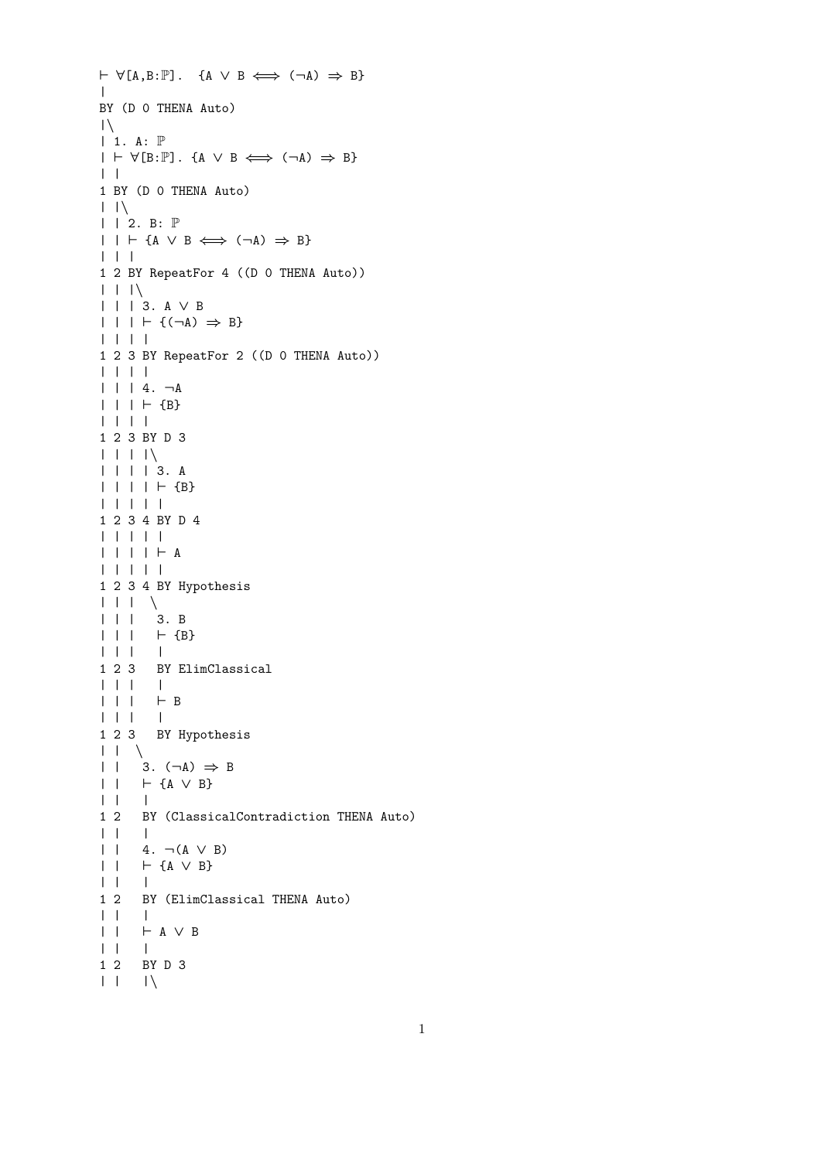```
\vdash \forall [A,B:\mathbb{P}]. {A \lor B \Longleftrightarrow (¬A) \Rightarrow B}
\blacksquareBY (D 0 THENA Auto)
|\setminus|| 1. A: P
| \vdash \forall [B:\mathbb{P}]. {A \lor B \iff (¬A) \Rightarrow B}
| \ \ |1 BY (D 0 THENA Auto)
| \ \ | \ \ \|\ \ | \ \ 2. \ \ \mathsf{B}: \ \mathbb{P}| \ | \ | \ \vdash \{A \lor B \iff (\neg A) \Rightarrow B\}| | |
1 2 BY RepeatFor 4 ((D 0 THENA Auto))
| \ \ | \ \ | \ \ || | | 3. A ∨ B
| | | + {(\neg A) \Rightarrow B}| | | |
1 2 3 BY RepeatFor 2 ((D 0 THENA Auto))
| | | |
| | | 4. ¬A
| | | + {B}| | | |
1 2 3 BY D 3
| | | |\
| | | | 3. A
| | | | | + {B}| | | | |
1 2 3 4 BY D 4
| | | | |
| | | | + A| | | | |
1 2 3 4 BY Hypothesis
\begin{array}{c|c|c|c|c} \hline \text{I} & \text{I} & \text{I} & \text{I} & \text{I} \end{array}| | | 3. B
| | | | | | {B}
| | | |
1 2 3 BY ElimClassical
| | | |
\begin{array}{ccccc} & | & | & | & \vdash \mathsf{B} \\ & | & | & | & \end{array}| | | |
1 2 3 BY Hypothesis
| \ \ | \ \ | \ \ \ \ \rangle| | 3. (¬A) \Rightarrow B
| | ` {A ∨ B}
| | |
1 2 BY (ClassicalContradiction THENA Auto)
| | |
| | 4. ¬(A ∨ B)
| | ` {A ∨ B}
| | |
1 2 BY (ElimClassical THENA Auto)
| | |
| | ` A ∨ B
\begin{array}{ccccc}\n| & | & | & \n\end{array}
1 2 B
       BY D 3
| \ \ | \ \ | \ \ |
```